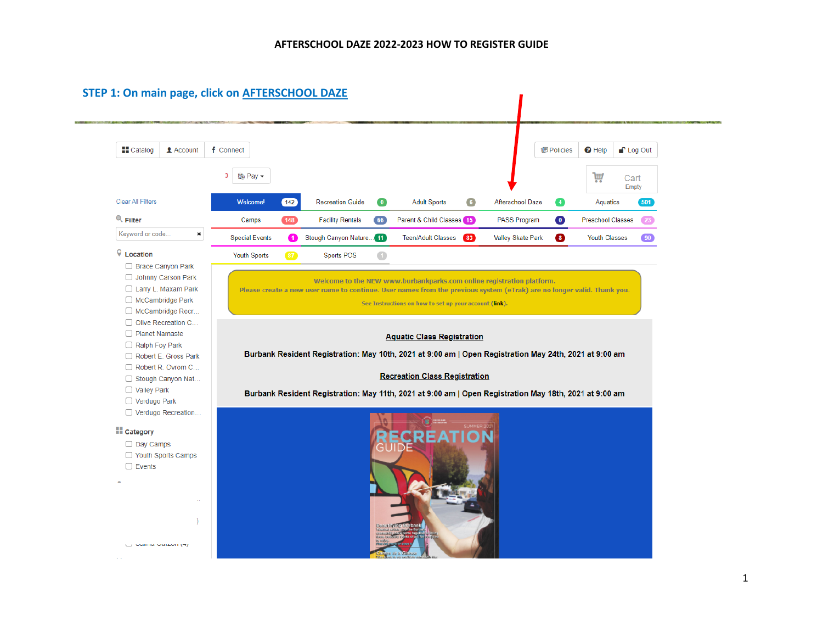| <b>H</b> Catalog<br><b>1</b> Account      | f Connect             |               |                         |            |                                                                                                                        |                   | <b>個 Policies</b> | $\Theta$ Help            | <sup>P</sup> Log Out |
|-------------------------------------------|-----------------------|---------------|-------------------------|------------|------------------------------------------------------------------------------------------------------------------------|-------------------|-------------------|--------------------------|----------------------|
|                                           | so Pay –              |               |                         |            |                                                                                                                        |                   |                   | W                        | Cart<br>Empty        |
| <b>Clear All Filters</b>                  | <b>Welcome!</b>       | $\boxed{142}$ | <b>Recreation Guide</b> | $\bullet$  | <b>Adult Sports</b><br>6 <sup>1</sup>                                                                                  | Afterschool Daze  | $\bullet$         | Aquatics                 | 501                  |
| $Q$ Filter                                | Camps                 | $148$         | <b>Facility Rentals</b> | 66         | Parent & Child Classes (15)                                                                                            | PASS Program      | $\bullet$         | <b>Preschool Classes</b> | 23                   |
| Keyword or code<br>$\pmb{\times}$         | <b>Special Events</b> | ⋒             | Stough Canyon Nature 11 |            | Teen/Adult Classes<br>$\left( 83 \right)$                                                                              | Valley Skate Park | $\bullet$         | <b>Youth Classes</b>     | $\boxed{90}$         |
| Q Location                                | <b>Youth Sports</b>   | $87$          | Sports POS              | $\bigcirc$ |                                                                                                                        |                   |                   |                          |                      |
| □ Brace Canyon Park                       |                       |               |                         |            |                                                                                                                        |                   |                   |                          |                      |
| Johnny Carson Park<br>Larry L. Maxam Park |                       |               |                         |            | Welcome to the NEW www.burbankparks.com online registration platform.                                                  |                   |                   |                          |                      |
| □ McCambridge Park                        |                       |               |                         |            | Please create a new user name to continue. User names from the previous system (eTrak) are no longer valid. Thank you. |                   |                   |                          |                      |
| □ McCambridge Recr                        |                       |               |                         |            | See Instructions on how to set up your account (link).                                                                 |                   |                   |                          |                      |
| Olive Recreation C                        |                       |               |                         |            |                                                                                                                        |                   |                   |                          |                      |
| □ Planet Namaste                          |                       |               |                         |            |                                                                                                                        |                   |                   |                          |                      |
| Ralph Foy Park                            |                       |               |                         |            | <b>Aquatic Class Registration</b>                                                                                      |                   |                   |                          |                      |
| Robert E. Gross Park                      |                       |               |                         |            | Burbank Resident Registration: May 10th, 2021 at 9:00 am   Open Registration May 24th, 2021 at 9:00 am                 |                   |                   |                          |                      |
|                                           |                       |               |                         |            |                                                                                                                        |                   |                   |                          |                      |
| Robert R. Ovrom C                         |                       |               |                         |            |                                                                                                                        |                   |                   |                          |                      |
|                                           |                       |               |                         |            | <b>Recreation Class Registration</b>                                                                                   |                   |                   |                          |                      |
| Stough Canyon Nat<br>□ Valley Park        |                       |               |                         |            |                                                                                                                        |                   |                   |                          |                      |
| □ Verdugo Park                            |                       |               |                         |            | Burbank Resident Registration: May 11th, 2021 at 9:00 am   Open Registration May 18th, 2021 at 9:00 am                 |                   |                   |                          |                      |
| □ Verdugo Recreation                      |                       |               |                         |            |                                                                                                                        |                   |                   |                          |                      |
|                                           |                       |               |                         |            | <b>ER EXECUTIVE</b>                                                                                                    |                   |                   |                          |                      |
|                                           |                       |               |                         |            |                                                                                                                        |                   |                   |                          |                      |
| $\Box$ Day Camps                          |                       |               |                         |            |                                                                                                                        |                   |                   |                          |                      |
| □ Youth Sports Camps                      |                       |               |                         |            |                                                                                                                        |                   |                   |                          |                      |
| $\Box$ Events                             |                       |               |                         |            |                                                                                                                        |                   |                   |                          |                      |
|                                           |                       |               |                         |            |                                                                                                                        |                   |                   |                          |                      |
|                                           |                       |               |                         |            |                                                                                                                        |                   |                   |                          |                      |
| <b>E</b> Category                         |                       |               |                         |            |                                                                                                                        |                   |                   |                          |                      |
|                                           |                       |               |                         |            |                                                                                                                        |                   |                   |                          |                      |
|                                           |                       |               |                         |            |                                                                                                                        |                   |                   |                          |                      |
|                                           |                       |               |                         |            |                                                                                                                        |                   |                   |                          |                      |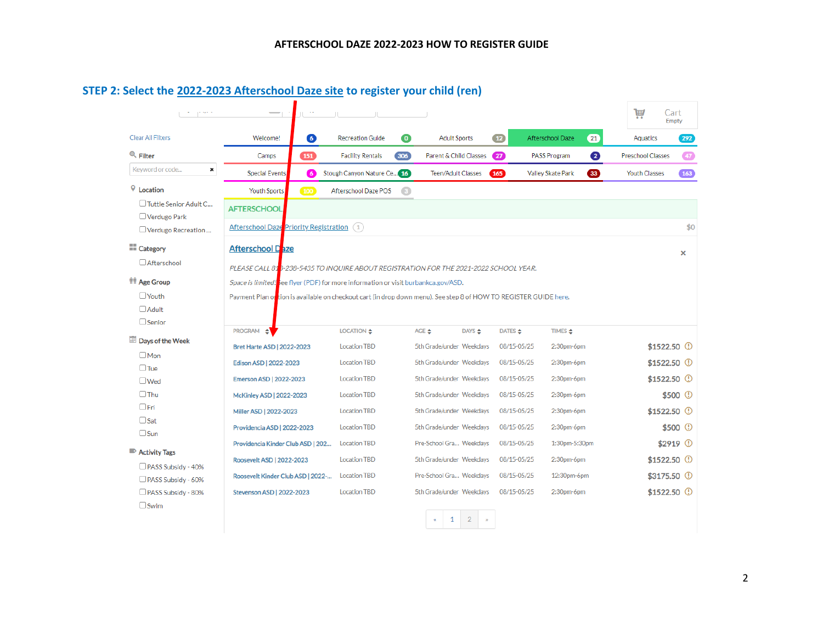| Clear All Filters                           | $\bullet$<br>Welcome!                                                                                             | <b>Recreation Guide</b>          | $\bullet$<br><b>Adult Sports</b> |                  | 12          | Afterschool Daze<br>(21)  | Aquatics             | 292)                  |
|---------------------------------------------|-------------------------------------------------------------------------------------------------------------------|----------------------------------|----------------------------------|------------------|-------------|---------------------------|----------------------|-----------------------|
| $Q$ Filter                                  | 151<br>Camps                                                                                                      | $306$<br><b>Facility Rentals</b> | Parent & Child Classes           |                  | $\sqrt{27}$ | $\bullet$<br>PASS Program | Preschool Classes    | $\overline{47}$       |
| Keyword or code<br>×                        | <b>Special Events</b><br>G                                                                                        | Stough Canyon Nature Ce 16       | Teen/Adult Classes               |                  | (165)       | 33<br>Valley Skate Park   | <b>Youth Classes</b> | $\boxed{163}$         |
| Q Location                                  | Youth Sports<br>100                                                                                               | Afterschool Daze POS             | $\bullet$                        |                  |             |                           |                      |                       |
| □ Tuttle Senior Adult C                     | <b>AFTERSCHOOL</b>                                                                                                |                                  |                                  |                  |             |                           |                      |                       |
| $\Box$ Verdugo Park<br>O Verdugo Recreation | Afterschool Daze Priority Registration (1)                                                                        |                                  |                                  |                  |             |                           |                      | \$0                   |
| <b>TT</b> Category                          | <b>Afterschool Daze</b>                                                                                           |                                  |                                  |                  |             |                           |                      | $\times$              |
| <b>Afterschool</b>                          | PLEASE CALL 81 <sup>8</sup> -238-5435 TO INQUIRE ABOUT REGISTRATION FOR THE 2021-2022 SCHOOL YEAR.                |                                  |                                  |                  |             |                           |                      |                       |
| <b>TT</b> Age Group                         | Space is limited! see flyer (PDF) for more information or visit burbankca.gov/ASD.                                |                                  |                                  |                  |             |                           |                      |                       |
| $\Box$ Youth                                | Payment Plan or tion is available on checkout cart (in drop down menu). See step 8 of HOW TO REGISTER GUIDE here. |                                  |                                  |                  |             |                           |                      |                       |
| $\Box$ Adult                                |                                                                                                                   |                                  |                                  |                  |             |                           |                      |                       |
| $\Box$ Senior                               |                                                                                                                   |                                  |                                  |                  |             |                           |                      |                       |
|                                             |                                                                                                                   |                                  |                                  |                  |             |                           |                      |                       |
|                                             | <b>PROGRAM</b><br>∸                                                                                               | LOCATION $\div$                  | AGE <del></del>                  | DAYS <del></del> | DATES ↔     | TIMES <del>←</del>        |                      |                       |
| $\square$ Mon                               | <b>Bret Harte ASD   2022-2023</b>                                                                                 | <b>Location TBD</b>              | 5th Grade/under Weekdays         |                  | 08/15-05/25 | 2:30pm-6pm                | $$1522.50$ ①         |                       |
| $\Box$ Tue                                  | Edison ASD   2022-2023                                                                                            | <b>Location TBD</b>              | 5th Grade/under Weekdays         |                  | 08/15-05/25 | 2:30pm-6pm                | $$1522.50$ ①         |                       |
| $\square$ Wed                               | Emerson ASD   2022-2023                                                                                           | <b>Location TBD</b>              | 5th Grade/under Weekdays         |                  | 08/15-05/25 | $2:30pm-6pm$              | $$1522.50$ ①         |                       |
| $\Box$ Thu                                  | <b>McKinley ASD   2022-2023</b>                                                                                   | <b>Location TBD</b>              | 5th Grade/under Weekdays         |                  | 08/15-05/25 | 2:30pm-6pm                |                      | \$500 <sup>①</sup>    |
| $\Box$ Fri                                  | Miller ASD   2022-2023                                                                                            | <b>Location TBD</b>              | 5th Grade/under Weekdays         |                  | 08/15-05/25 | 2:30pm-6pm                | $$1522.50$ ①         |                       |
| $\Box$ Sat                                  | Providencia ASD   2022-2023                                                                                       | <b>Location TBD</b>              | 5th Grade/under Weekdays         |                  | 08/15-05/25 | 2:30pm-6pm                |                      |                       |
| Days of the Week<br>$\Box$ Sun              |                                                                                                                   |                                  |                                  |                  |             |                           |                      |                       |
| Activity Tags                               | Providencia Kinder Club ASD   202                                                                                 | <b>Location TBD</b>              | Pre-School Gra Weekdays          |                  | 08/15-05/25 | 1:30pm-5:30pm             |                      | $$500$ ①<br>$$2919$ ① |
| $\Box$ PASS Subsidy - 40%                   | Roosevelt ASD   2022-2023                                                                                         | <b>Location TBD</b>              | 5th Grade/under Weekdays         |                  | 08/15-05/25 | 2:30pm-6pm                | $$1522.50$ ①         |                       |
| $\Box$ PASS Subsidy - 60%                   | Roosevelt Kinder Club ASD   2022-                                                                                 | <b>Location TBD</b>              | Pre-School Gra Weekdays          |                  | 08/15-05/25 | 12:30pm-6pm               | $$3175.50$ ①         |                       |

# **STEP 2: Select the 2022-2023 Afterschool Daze site to register your child (ren)**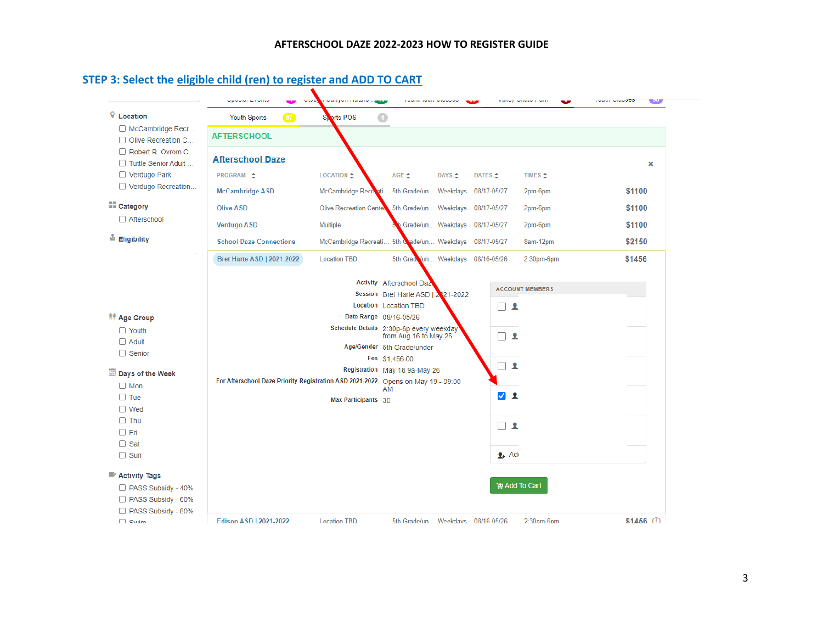### **STEP 3: Select the eligible child (ren) to register and ADD TO CART**

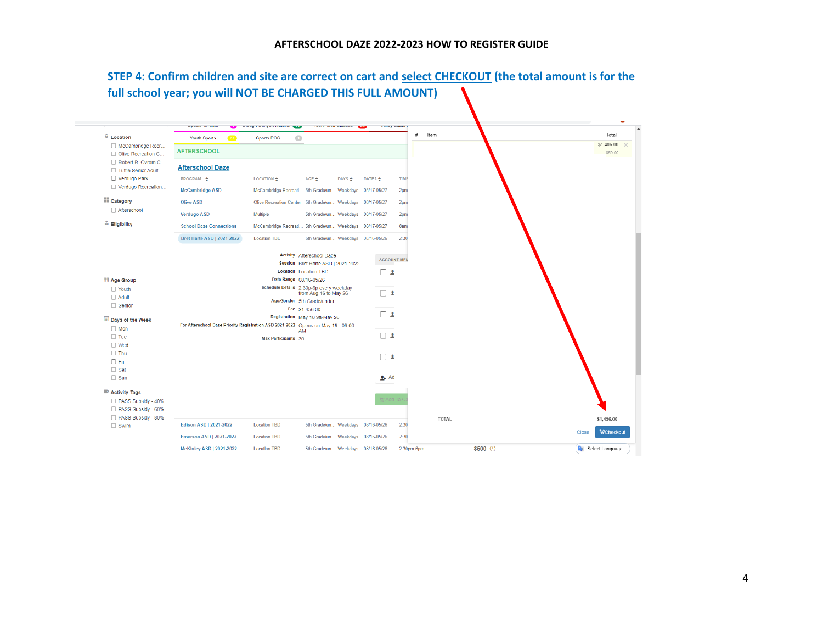#### **AFTERSCHOOL DAZE 2022-2023 HOW TO REGISTER GUIDE**

# **STEP 4: Confirm children and site are correct on cart and select CHECKOUT (the total amount is for the full school year; you will NOT BE CHARGED THIS FULL AMOUNT)**

| $\sqrt{\ }$ Location                     | $\overline{37}$<br><b>Youth Sports</b>                                           | $\bigcirc$<br><b>Sports POS</b> |                                                                  |                    |                    | #    | Item  | Total                     |
|------------------------------------------|----------------------------------------------------------------------------------|---------------------------------|------------------------------------------------------------------|--------------------|--------------------|------|-------|---------------------------|
| McCambridge Recr<br>Olive Recreation C   | <b>AFTERSCHOOL</b>                                                               |                                 |                                                                  |                    |                    |      |       | \$1,406.00 %<br>\$50.00   |
| Robert R. Ovrom C<br>Tuttle Senior Adult | <b>Afterschool Daze</b>                                                          |                                 |                                                                  |                    |                    |      |       |                           |
| □ Verdugo Park                           | PROGRAM $\triangle$                                                              | <b>LOCATION &amp;</b>           | AGE ±<br>DAYS $\triangle$                                        | DATES $\triangleq$ |                    | TIME |       |                           |
| Verdugo Recreation                       | <b>McCambridge ASD</b>                                                           |                                 | McCambridge Recreati 5th Grade/un Weekdays 08/17-05/27           |                    |                    | 2pm  |       |                           |
| $\Box$ Category                          | <b>Olive ASD</b>                                                                 |                                 | Olive Recreation Center 5th Grade/un Weekdays 08/17-05/27        |                    |                    | 2pm  |       |                           |
| □ Afterschool                            | <b>Verdugo ASD</b>                                                               | <b>Multiple</b>                 | 5th Grade/un Weekdays 08/17-05/27                                |                    |                    | 2pm  |       |                           |
| <u><sup>In</sup></u> Eligibility         | <b>School Daze Connections</b>                                                   |                                 | McCambridge Recreati 5th Grade/un Weekdays 08/17-05/27           |                    |                    | 8am  |       |                           |
|                                          | <b>Bret Harte ASD   2021-2022</b>                                                | <b>Location TBD</b>             | 5th Grade/un Weekdays 08/16-05/26                                |                    |                    | 2:30 |       |                           |
|                                          |                                                                                  |                                 | <b>Activity Afterschool Daze</b>                                 |                    |                    |      |       |                           |
|                                          |                                                                                  |                                 | Session Bret Harte ASD   2021-2022                               |                    | <b>ACCOUNT MEN</b> |      |       |                           |
|                                          |                                                                                  |                                 | Location Location TBD                                            |                    | $\Box$             |      |       |                           |
| <b>TT Age Group</b>                      |                                                                                  | Date Range 08/16-05/26          |                                                                  |                    |                    |      |       |                           |
| □ Youth                                  |                                                                                  |                                 | Schedule Details 2:30p-6p every weekday<br>from Aug 16 to May 26 |                    | $\Box$             |      |       |                           |
| $\Box$ Adult                             |                                                                                  |                                 | Age/Gender 5th Grade/under                                       |                    |                    |      |       |                           |
| $\Box$ Senior                            |                                                                                  |                                 | Fee \$1,456.00                                                   |                    |                    |      |       |                           |
| Days of the Week                         |                                                                                  |                                 | Registration May 18 9a-May 26                                    |                    | $\Box$ 2           |      |       |                           |
| $\Box$ Mon                               | For Afterschool Daze Priority Registration ASD 2021-2022 Opens on May 19 - 09:00 |                                 | AM                                                               |                    |                    |      |       |                           |
| $\Box$ Tue                               |                                                                                  | Max Participants 30             |                                                                  |                    | $\Box$             |      |       |                           |
| $\Box$ Wed                               |                                                                                  |                                 |                                                                  |                    |                    |      |       |                           |
| $\Box$ Thu                               |                                                                                  |                                 |                                                                  |                    | $\Box$             |      |       |                           |
| $\Box$ Fri                               |                                                                                  |                                 |                                                                  |                    |                    |      |       |                           |
| $\Box$ Sat                               |                                                                                  |                                 |                                                                  |                    |                    |      |       |                           |
| $\Box$ Sun                               |                                                                                  |                                 |                                                                  |                    | $\frac{1}{2}$ Ad   |      |       |                           |
| Activity Tags                            |                                                                                  |                                 |                                                                  |                    |                    |      |       |                           |
| PASS Subsidy - 40%                       |                                                                                  |                                 |                                                                  |                    | ty Add To          |      |       |                           |
| PASS Subsidy - 60%                       |                                                                                  |                                 |                                                                  |                    |                    |      |       |                           |
| PASS Subsidy - 80%                       |                                                                                  |                                 |                                                                  |                    |                    |      |       |                           |
| $\Box$ Swim                              | Edison ASD   2021-2022                                                           | <b>Location TBD</b>             | 5th Grade/un Weekdays 08/16-05/26                                |                    |                    | 2:30 | TOTAL | \$1,456.00                |
|                                          | <b>Emerson ASD   2021-2022</b>                                                   | <b>Location TBD</b>             | 5th Grade/un Weekdays 08/16-05/26                                |                    |                    | 2:30 |       | <b>WCheckout</b><br>Close |
|                                          |                                                                                  |                                 |                                                                  |                    |                    |      |       |                           |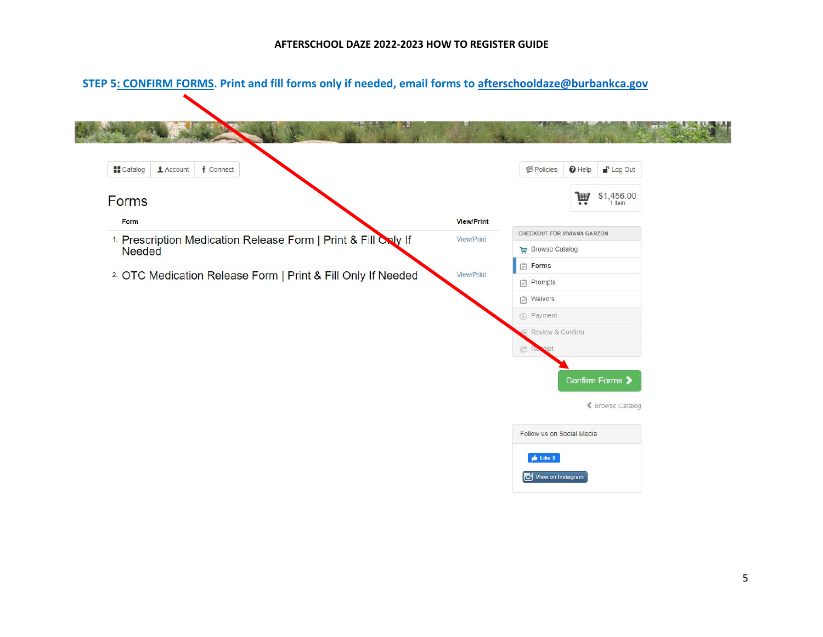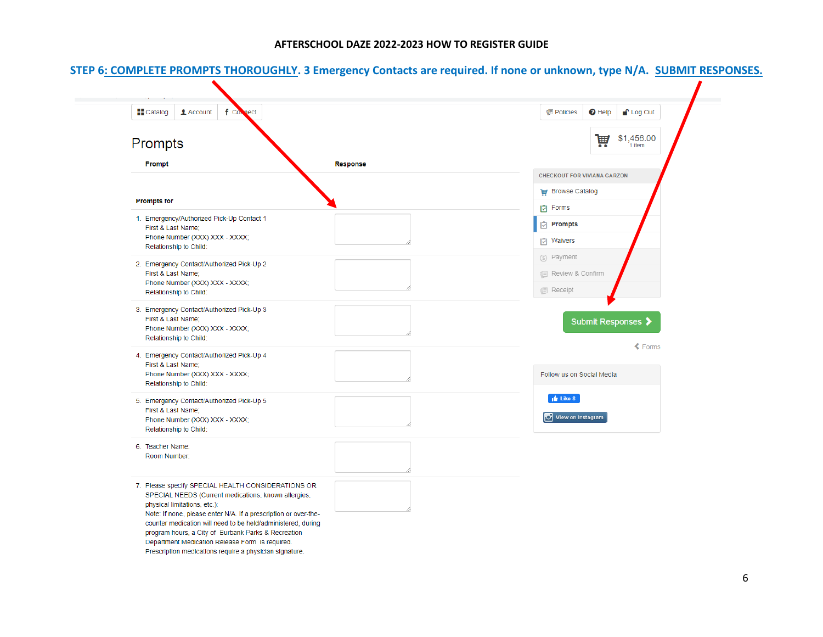| \$1,456.00<br>圃<br>1 item<br>. .<br>Response<br>Prompt<br><b>CHECKOUT FOR VIVIANA GARZON</b><br><b>THE Browse Catalog</b><br><b>Prompts for</b><br><b>D</b> Forms<br>Prompts<br>First & Last Name;<br>Phone Number (XXX) XXX - XXXX;<br><b>D</b> Waivers<br>Relationship to Child:<br>5 Payment<br>First & Last Name;<br>1 Review & Confirm<br>Phone Number (XXX) XXX - XXXX;<br><b>I</b> Receipt<br>Relationship to Child:<br>First & Last Name;<br>Submit Responses ><br>Phone Number (XXX) XXX - XXXX;<br>Relationship to Child:<br>$\triangle$ Forms<br>First & Last Name;<br>Phone Number (XXX) XXX - XXXX;<br>Follow us on Social Media<br>Relationship to Child:<br>$\frac{1}{2}$ Like 8<br>First & Last Name;<br>View on Instagram<br>Phone Number (XXX) XXX - XXXX;<br>Relationship to Child:<br>Room Number:<br>SPECIAL NEEDS (Current medications, known allergies,<br>physical limitations, etc.):<br>Note: If none, please enter N/A. If a prescription or over-the- | <b>Catalog</b><br>1 Account<br>$f \text{ } c$<br>ect                                                   | <sup>1</sup> Log Out<br>$\Theta$ Help<br><b>图 Policies</b> |
|-----------------------------------------------------------------------------------------------------------------------------------------------------------------------------------------------------------------------------------------------------------------------------------------------------------------------------------------------------------------------------------------------------------------------------------------------------------------------------------------------------------------------------------------------------------------------------------------------------------------------------------------------------------------------------------------------------------------------------------------------------------------------------------------------------------------------------------------------------------------------------------------------------------------------------------------------------------------------------------|--------------------------------------------------------------------------------------------------------|------------------------------------------------------------|
|                                                                                                                                                                                                                                                                                                                                                                                                                                                                                                                                                                                                                                                                                                                                                                                                                                                                                                                                                                                   | Prompts                                                                                                |                                                            |
|                                                                                                                                                                                                                                                                                                                                                                                                                                                                                                                                                                                                                                                                                                                                                                                                                                                                                                                                                                                   |                                                                                                        |                                                            |
|                                                                                                                                                                                                                                                                                                                                                                                                                                                                                                                                                                                                                                                                                                                                                                                                                                                                                                                                                                                   |                                                                                                        |                                                            |
|                                                                                                                                                                                                                                                                                                                                                                                                                                                                                                                                                                                                                                                                                                                                                                                                                                                                                                                                                                                   |                                                                                                        |                                                            |
|                                                                                                                                                                                                                                                                                                                                                                                                                                                                                                                                                                                                                                                                                                                                                                                                                                                                                                                                                                                   |                                                                                                        |                                                            |
|                                                                                                                                                                                                                                                                                                                                                                                                                                                                                                                                                                                                                                                                                                                                                                                                                                                                                                                                                                                   | 1. Emergency/Authorized Pick-Up Contact 1                                                              |                                                            |
|                                                                                                                                                                                                                                                                                                                                                                                                                                                                                                                                                                                                                                                                                                                                                                                                                                                                                                                                                                                   |                                                                                                        |                                                            |
|                                                                                                                                                                                                                                                                                                                                                                                                                                                                                                                                                                                                                                                                                                                                                                                                                                                                                                                                                                                   |                                                                                                        |                                                            |
|                                                                                                                                                                                                                                                                                                                                                                                                                                                                                                                                                                                                                                                                                                                                                                                                                                                                                                                                                                                   | 2. Emergency Contact/Authorized Pick-Up 2                                                              |                                                            |
|                                                                                                                                                                                                                                                                                                                                                                                                                                                                                                                                                                                                                                                                                                                                                                                                                                                                                                                                                                                   |                                                                                                        |                                                            |
|                                                                                                                                                                                                                                                                                                                                                                                                                                                                                                                                                                                                                                                                                                                                                                                                                                                                                                                                                                                   |                                                                                                        |                                                            |
|                                                                                                                                                                                                                                                                                                                                                                                                                                                                                                                                                                                                                                                                                                                                                                                                                                                                                                                                                                                   | 3. Emergency Contact/Authorized Pick-Up 3                                                              |                                                            |
|                                                                                                                                                                                                                                                                                                                                                                                                                                                                                                                                                                                                                                                                                                                                                                                                                                                                                                                                                                                   |                                                                                                        |                                                            |
|                                                                                                                                                                                                                                                                                                                                                                                                                                                                                                                                                                                                                                                                                                                                                                                                                                                                                                                                                                                   |                                                                                                        |                                                            |
|                                                                                                                                                                                                                                                                                                                                                                                                                                                                                                                                                                                                                                                                                                                                                                                                                                                                                                                                                                                   | 4. Emergency Contact/Authorized Pick-Up 4                                                              |                                                            |
|                                                                                                                                                                                                                                                                                                                                                                                                                                                                                                                                                                                                                                                                                                                                                                                                                                                                                                                                                                                   |                                                                                                        |                                                            |
|                                                                                                                                                                                                                                                                                                                                                                                                                                                                                                                                                                                                                                                                                                                                                                                                                                                                                                                                                                                   |                                                                                                        |                                                            |
|                                                                                                                                                                                                                                                                                                                                                                                                                                                                                                                                                                                                                                                                                                                                                                                                                                                                                                                                                                                   | 5. Emergency Contact/Authorized Pick-Up 5                                                              |                                                            |
|                                                                                                                                                                                                                                                                                                                                                                                                                                                                                                                                                                                                                                                                                                                                                                                                                                                                                                                                                                                   |                                                                                                        |                                                            |
|                                                                                                                                                                                                                                                                                                                                                                                                                                                                                                                                                                                                                                                                                                                                                                                                                                                                                                                                                                                   |                                                                                                        |                                                            |
|                                                                                                                                                                                                                                                                                                                                                                                                                                                                                                                                                                                                                                                                                                                                                                                                                                                                                                                                                                                   | 6. Teacher Name:                                                                                       |                                                            |
|                                                                                                                                                                                                                                                                                                                                                                                                                                                                                                                                                                                                                                                                                                                                                                                                                                                                                                                                                                                   |                                                                                                        |                                                            |
|                                                                                                                                                                                                                                                                                                                                                                                                                                                                                                                                                                                                                                                                                                                                                                                                                                                                                                                                                                                   |                                                                                                        |                                                            |
|                                                                                                                                                                                                                                                                                                                                                                                                                                                                                                                                                                                                                                                                                                                                                                                                                                                                                                                                                                                   | 7. Please specify SPECIAL HEALTH CONSIDERATIONS OR                                                     |                                                            |
|                                                                                                                                                                                                                                                                                                                                                                                                                                                                                                                                                                                                                                                                                                                                                                                                                                                                                                                                                                                   |                                                                                                        |                                                            |
|                                                                                                                                                                                                                                                                                                                                                                                                                                                                                                                                                                                                                                                                                                                                                                                                                                                                                                                                                                                   | counter medication will need to be held/administered, during                                           |                                                            |
|                                                                                                                                                                                                                                                                                                                                                                                                                                                                                                                                                                                                                                                                                                                                                                                                                                                                                                                                                                                   | program hours, a City of Burbank Parks & Recreation<br>Department Medication Release Form is required. |                                                            |

## **STEP 6: COMPLETE PROMPTS THOROUGHLY. 3 Emergency Contacts are required. If none or unknown, type N/A. SUBMIT RESPONSES.**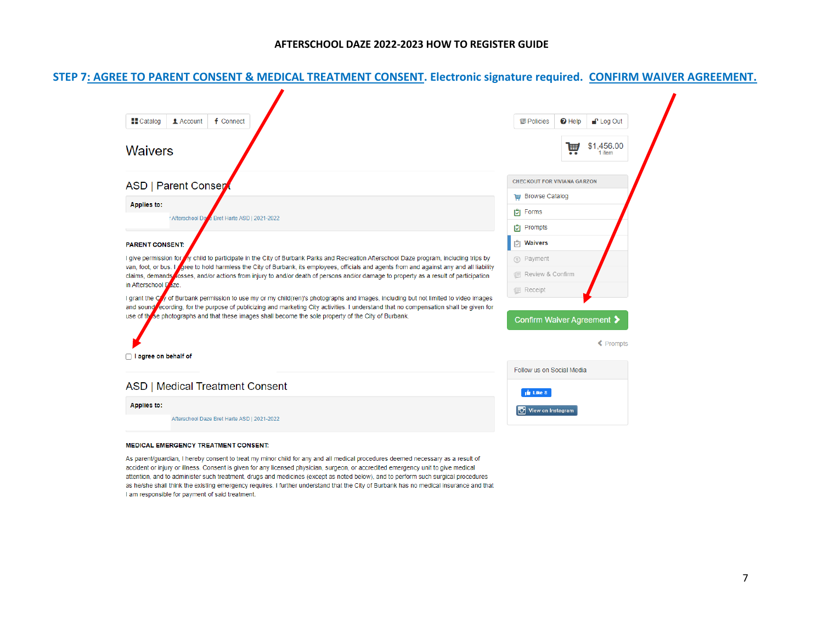#### **STEP 7: AGREE TO PARENT CONSENT & MEDICAL TREATMENT CONSENT. Electronic signature required. CONFIRM WAIVER AGREEMENT.**



#### **MEDICAL EMERGENCY TREATMENT CONSENT:**

As parent/guardian, I hereby consent to treat my minor child for any and all medical procedures deemed necessary as a result of accident or injury or illness. Consent is given for any licensed physician, surgeon, or accredited emergency unit to give medical attention, and to administer such treatment, drugs and medicines (except as noted below), and to perform such surgical procedures as he/she shall think the existing emergency requires. I further understand that the City of Burbank has no medical insurance and that I am responsible for payment of said treatment.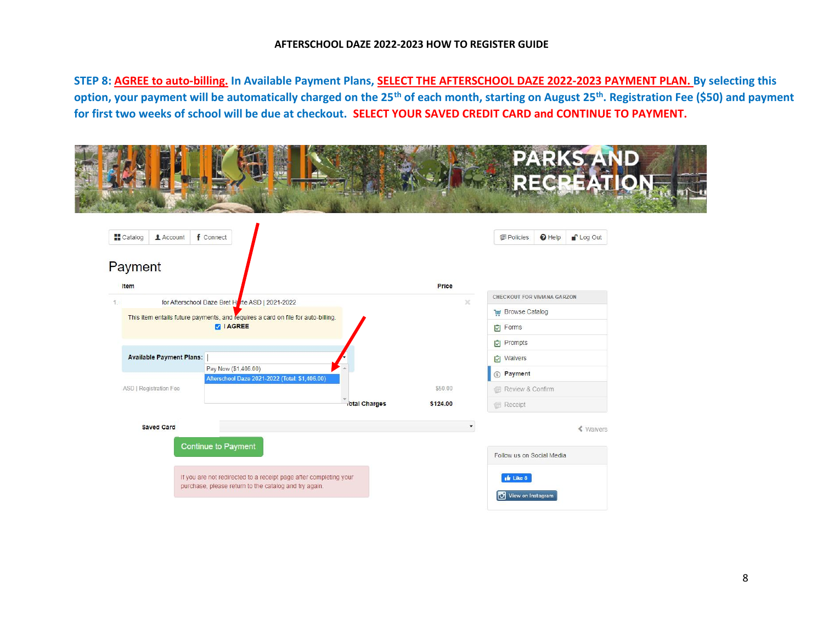#### **AFTERSCHOOL DAZE 2022-2023 HOW TO REGISTER GUIDE**

**STEP 8: AGREE to auto-billing. In Available Payment Plans, SELECT THE AFTERSCHOOL DAZE 2022-2023 PAYMENT PLAN. By selecting this option, your payment will be automatically charged on the 25th of each month, starting on August 25th. Registration Fee (\$50) and payment for first two weeks of school will be due at checkout. SELECT YOUR SAVED CREDIT CARD and CONTINUE TO PAYMENT.** 

| f Connect<br><b>Catalog</b><br>$\triangle$ Account                               |                           | <b>C</b> Log Out<br>Policies<br>$\Theta$ Help |  |
|----------------------------------------------------------------------------------|---------------------------|-----------------------------------------------|--|
| Payment<br>Item                                                                  | Price                     |                                               |  |
| for Afterschool Daze Bret H <sub>ar</sub> te ASD   2021-2022<br>1.               |                           | CHECKOUT FOR VIVIANA GARZON<br>$\times$       |  |
| This item entails future payments, and requires a card on file for auto-billing. |                           | <b>E</b> Browse Catalog                       |  |
| <b>ZIAGREE</b>                                                                   |                           | <b>D</b> Forms                                |  |
|                                                                                  |                           | Prompts                                       |  |
| <b>Available Payment Plans:</b>                                                  |                           | <b>D</b> Waivers                              |  |
| Pay Now (\$1,406.00)<br>Afterschool Daze 2021-2022 (Total: \$1,406.00)           |                           | 5 Payment                                     |  |
| ASD   Registration Fee                                                           | \$50.00                   | Review & Confirm                              |  |
|                                                                                  | iotal Charges<br>\$124.00 | Receipt                                       |  |
| <b>Saved Card</b>                                                                |                           | « Waivers                                     |  |
| <b>Continue to Payment</b>                                                       |                           |                                               |  |